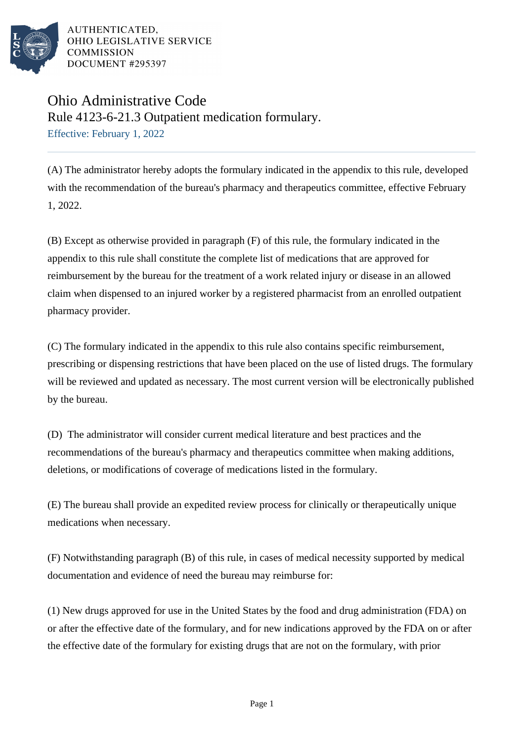

AUTHENTICATED. OHIO LEGISLATIVE SERVICE **COMMISSION** DOCUMENT #295397

## Ohio Administrative Code

Rule 4123-6-21.3 Outpatient medication formulary.

Effective: February 1, 2022

(A) The administrator hereby adopts the formulary indicated in the appendix to this rule, developed with the recommendation of the bureau's pharmacy and therapeutics committee, effective February 1, 2022.

(B) Except as otherwise provided in paragraph (F) of this rule, the formulary indicated in the appendix to this rule shall constitute the complete list of medications that are approved for reimbursement by the bureau for the treatment of a work related injury or disease in an allowed claim when dispensed to an injured worker by a registered pharmacist from an enrolled outpatient pharmacy provider.

(C) The formulary indicated in the appendix to this rule also contains specific reimbursement, prescribing or dispensing restrictions that have been placed on the use of listed drugs. The formulary will be reviewed and updated as necessary. The most current version will be electronically published by the bureau.

(D) The administrator will consider current medical literature and best practices and the recommendations of the bureau's pharmacy and therapeutics committee when making additions, deletions, or modifications of coverage of medications listed in the formulary.

(E) The bureau shall provide an expedited review process for clinically or therapeutically unique medications when necessary.

(F) Notwithstanding paragraph (B) of this rule, in cases of medical necessity supported by medical documentation and evidence of need the bureau may reimburse for:

(1) New drugs approved for use in the United States by the food and drug administration (FDA) on or after the effective date of the formulary, and for new indications approved by the FDA on or after the effective date of the formulary for existing drugs that are not on the formulary, with prior